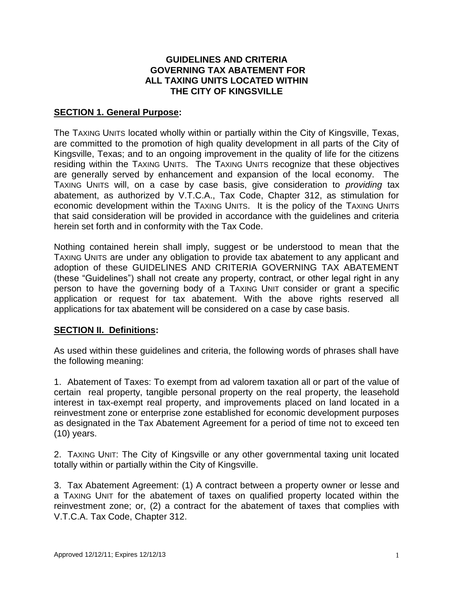## **GUIDELINES AND CRITERIA GOVERNING TAX ABATEMENT FOR ALL TAXING UNITS LOCATED WITHIN THE CITY OF KINGSVILLE**

### **SECTION 1. General Purpose:**

The TAXING UNITS located wholly within or partially within the City of Kingsville, Texas, are committed to the promotion of high quality development in all parts of the City of Kingsville, Texas; and to an ongoing improvement in the quality of life for the citizens residing within the TAXING UNITS. The TAXING UNITS recognize that these objectives are generally served by enhancement and expansion of the local economy. The TAXING UNITS will, on a case by case basis, give consideration to *providing* tax abatement, as authorized by V.T.C.A., Tax Code, Chapter 312, as stimulation for economic development within the TAXING UNITS. It is the policy of the TAXING UNITS that said consideration will be provided in accordance with the guidelines and criteria herein set forth and in conformity with the Tax Code.

Nothing contained herein shall imply, suggest or be understood to mean that the TAXING UNITS are under any obligation to provide tax abatement to any applicant and adoption of these GUIDELINES AND CRITERIA GOVERNING TAX ABATEMENT (these "Guidelines") shall not create any property, contract, or other legal right in any person to have the governing body of a TAXING UNIT consider or grant a specific application or request for tax abatement. With the above rights reserved all applications for tax abatement will be considered on a case by case basis.

## **SECTION II. Definitions:**

As used within these guidelines and criteria, the following words of phrases shall have the following meaning:

1. Abatement of Taxes: To exempt from ad valorem taxation all or part of the value of certain real property, tangible personal property on the real property, the leasehold interest in tax-exempt real property, and improvements placed on land located in a reinvestment zone or enterprise zone established for economic development purposes as designated in the Tax Abatement Agreement for a period of time not to exceed ten (10) years.

2. TAXING UNIT: The City of Kingsville or any other governmental taxing unit located totally within or partially within the City of Kingsville.

3. Tax Abatement Agreement: (1) A contract between a property owner or lesse and a TAXING UNIT for the abatement of taxes on qualified property located within the reinvestment zone; or, (2) a contract for the abatement of taxes that complies with V.T.C.A. Tax Code, Chapter 312.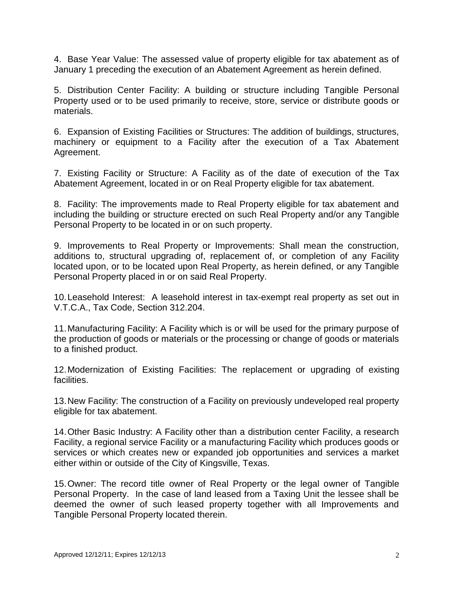4. Base Year Value: The assessed value of property eligible for tax abatement as of January 1 preceding the execution of an Abatement Agreement as herein defined.

5. Distribution Center Facility: A building or structure including Tangible Personal Property used or to be used primarily to receive, store, service or distribute goods or materials.

6. Expansion of Existing Facilities or Structures: The addition of buildings, structures, machinery or equipment to a Facility after the execution of a Tax Abatement Agreement.

7. Existing Facility or Structure: A Facility as of the date of execution of the Tax Abatement Agreement, located in or on Real Property eligible for tax abatement.

8. Facility: The improvements made to Real Property eligible for tax abatement and including the building or structure erected on such Real Property and/or any Tangible Personal Property to be located in or on such property.

9. Improvements to Real Property or Improvements: Shall mean the construction, additions to, structural upgrading of, replacement of, or completion of any Facility located upon, or to be located upon Real Property, as herein defined, or any Tangible Personal Property placed in or on said Real Property.

10.Leasehold Interest: A leasehold interest in tax-exempt real property as set out in V.T.C.A., Tax Code, Section 312.204.

11.Manufacturing Facility: A Facility which is or will be used for the primary purpose of the production of goods or materials or the processing or change of goods or materials to a finished product.

12.Modernization of Existing Facilities: The replacement or upgrading of existing facilities.

13.New Facility: The construction of a Facility on previously undeveloped real property eligible for tax abatement.

14.Other Basic Industry: A Facility other than a distribution center Facility, a research Facility, a regional service Facility or a manufacturing Facility which produces goods or services or which creates new or expanded job opportunities and services a market either within or outside of the City of Kingsville, Texas.

15.Owner: The record title owner of Real Property or the legal owner of Tangible Personal Property. In the case of land leased from a Taxing Unit the lessee shall be deemed the owner of such leased property together with all Improvements and Tangible Personal Property located therein.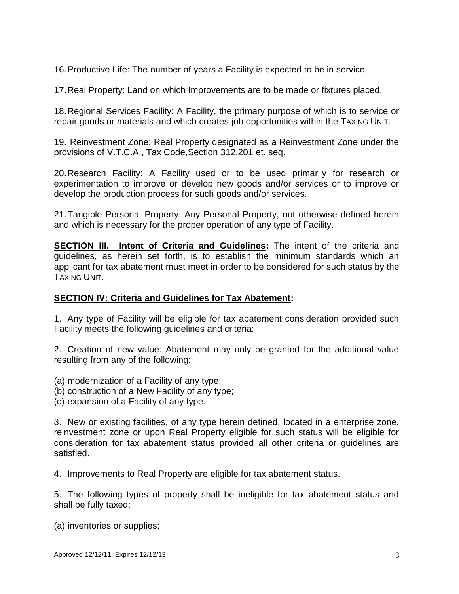16.Productive Life: The number of years a Facility is expected to be in service.

17.Real Property: Land on which Improvements are to be made or fixtures placed.

18.Regional Services Facility: A Facility, the primary purpose of which is to service or repair goods or materials and which creates job opportunities within the TAXING UNIT.

19. Reinvestment Zone: Real Property designated as a Reinvestment Zone under the provisions of V.T.C.A., Tax Code,Section 312.201 et. seq.

20.Research Facility: A Facility used or to be used primarily for research or experimentation to improve or develop new goods and/or services or to improve or develop the production process for such goods and/or services.

21.Tangible Personal Property: Any Personal Property, not otherwise defined herein and which is necessary for the proper operation of any type of Facility.

**SECTION III. Intent of Criteria and Guidelines:** The intent of the criteria and guidelines, as herein set forth, is to establish the minimum standards which an applicant for tax abatement must meet in order to be considered for such status by the TAXING UNIT.

## **SECTION IV: Criteria and Guidelines for Tax Abatement:**

1. Any type of Facility will be eligible for tax abatement consideration provided such Facility meets the following guidelines and criteria:

2. Creation of new value: Abatement may only be granted for the additional value resulting from any of the following:

- (a) modernization of a Facility of any type;
- (b) construction of a New Facility of any type;
- (c) expansion of a Facility of any type.

3. New or existing facilities, of any type herein defined, located in a enterprise zone, reinvestment zone or upon Real Property eligible for such status will be eligible for consideration for tax abatement status provided all other criteria or guidelines are satisfied.

4. Improvements to Real Property are eligible for tax abatement status.

5. The following types of property shall be ineligible for tax abatement status and shall be fully taxed:

(a) inventories or supplies;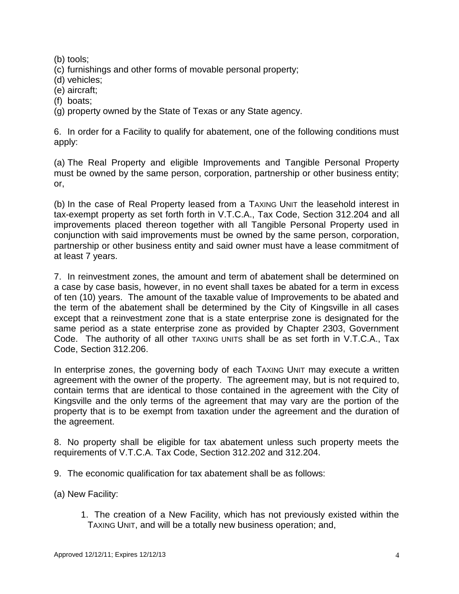(b) tools;

(c) furnishings and other forms of movable personal property;

(d) vehicles;

(e) aircraft;

(f) boats;

(g) property owned by the State of Texas or any State agency.

6. In order for a Facility to qualify for abatement, one of the following conditions must apply:

(a) The Real Property and eligible Improvements and Tangible Personal Property must be owned by the same person, corporation, partnership or other business entity; or,

(b) In the case of Real Property leased from a TAXING UNIT the leasehold interest in tax-exempt property as set forth forth in V.T.C.A., Tax Code, Section 312.204 and all improvements placed thereon together with all Tangible Personal Property used in conjunction with said improvements must be owned by the same person, corporation, partnership or other business entity and said owner must have a lease commitment of at least 7 years.

7. In reinvestment zones, the amount and term of abatement shall be determined on a case by case basis, however, in no event shall taxes be abated for a term in excess of ten (10) years. The amount of the taxable value of Improvements to be abated and the term of the abatement shall be determined by the City of Kingsville in all cases except that a reinvestment zone that is a state enterprise zone is designated for the same period as a state enterprise zone as provided by Chapter 2303, Government Code. The authority of all other TAXING UNITS shall be as set forth in V.T.C.A., Tax Code, Section 312.206.

In enterprise zones, the governing body of each TAXING UNIT may execute a written agreement with the owner of the property. The agreement may, but is not required to, contain terms that are identical to those contained in the agreement with the City of Kingsville and the only terms of the agreement that may vary are the portion of the property that is to be exempt from taxation under the agreement and the duration of the agreement.

8. No property shall be eligible for tax abatement unless such property meets the requirements of V.T.C.A. Tax Code, Section 312.202 and 312.204.

9. The economic qualification for tax abatement shall be as follows:

(a) New Facility:

1. The creation of a New Facility, which has not previously existed within the TAXING UNIT, and will be a totally new business operation; and,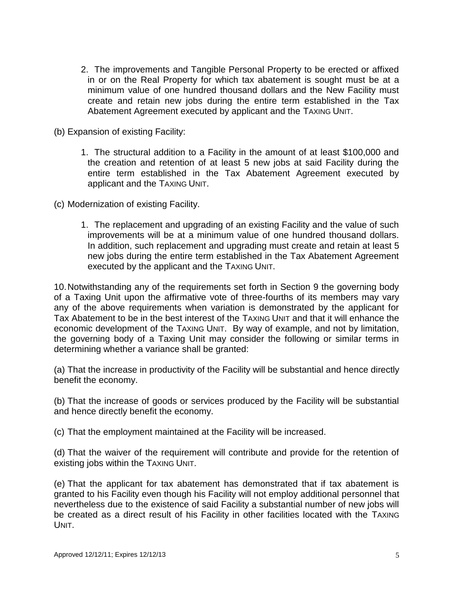- 2. The improvements and Tangible Personal Property to be erected or affixed in or on the Real Property for which tax abatement is sought must be at a minimum value of one hundred thousand dollars and the New Facility must create and retain new jobs during the entire term established in the Tax Abatement Agreement executed by applicant and the TAXING UNIT.
- (b) Expansion of existing Facility:
	- 1. The structural addition to a Facility in the amount of at least \$100,000 and the creation and retention of at least 5 new jobs at said Facility during the entire term established in the Tax Abatement Agreement executed by applicant and the TAXING UNIT.

(c) Modernization of existing Facility.

1. The replacement and upgrading of an existing Facility and the value of such improvements will be at a minimum value of one hundred thousand dollars. In addition, such replacement and upgrading must create and retain at least 5 new jobs during the entire term established in the Tax Abatement Agreement executed by the applicant and the TAXING UNIT.

10.Notwithstanding any of the requirements set forth in Section 9 the governing body of a Taxing Unit upon the affirmative vote of three-fourths of its members may vary any of the above requirements when variation is demonstrated by the applicant for Tax Abatement to be in the best interest of the TAXING UNIT and that it will enhance the economic development of the TAXING UNIT. By way of example, and not by limitation, the governing body of a Taxing Unit may consider the following or similar terms in determining whether a variance shall be granted:

(a) That the increase in productivity of the Facility will be substantial and hence directly benefit the economy.

(b) That the increase of goods or services produced by the Facility will be substantial and hence directly benefit the economy.

(c) That the employment maintained at the Facility will be increased.

(d) That the waiver of the requirement will contribute and provide for the retention of existing jobs within the TAXING UNIT.

(e) That the applicant for tax abatement has demonstrated that if tax abatement is granted to his Facility even though his Facility will not employ additional personnel that nevertheless due to the existence of said Facility a substantial number of new jobs will be created as a direct result of his Facility in other facilities located with the TAXING UNIT.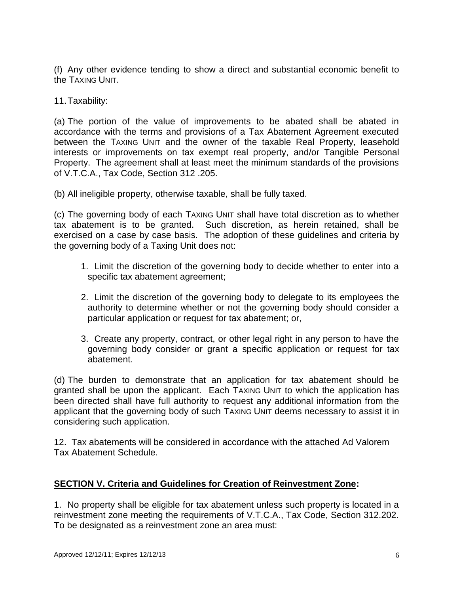(f) Any other evidence tending to show a direct and substantial economic benefit to the TAXING UNIT.

11.Taxability:

(a) The portion of the value of improvements to be abated shall be abated in accordance with the terms and provisions of a Tax Abatement Agreement executed between the TAXING UNIT and the owner of the taxable Real Property, leasehold interests or improvements on tax exempt real property, and/or Tangible Personal Property. The agreement shall at least meet the minimum standards of the provisions of V.T.C.A., Tax Code, Section 312 .205.

(b) All ineligible property, otherwise taxable, shall be fully taxed.

(c) The governing body of each TAXING UNIT shall have total discretion as to whether tax abatement is to be granted. Such discretion, as herein retained, shall be exercised on a case by case basis. The adoption of these guidelines and criteria by the governing body of a Taxing Unit does not:

- 1. Limit the discretion of the governing body to decide whether to enter into a specific tax abatement agreement;
- 2. Limit the discretion of the governing body to delegate to its employees the authority to determine whether or not the governing body should consider a particular application or request for tax abatement; or,
- 3. Create any property, contract, or other legal right in any person to have the governing body consider or grant a specific application or request for tax abatement.

(d) The burden to demonstrate that an application for tax abatement should be granted shall be upon the applicant. Each TAXING UNIT to which the application has been directed shall have full authority to request any additional information from the applicant that the governing body of such TAXING UNIT deems necessary to assist it in considering such application.

12. Tax abatements will be considered in accordance with the attached Ad Valorem Tax Abatement Schedule.

## **SECTION V. Criteria and Guidelines for Creation of Reinvestment Zone:**

1. No property shall be eligible for tax abatement unless such property is located in a reinvestment zone meeting the requirements of V.T.C.A., Tax Code, Section 312.202. To be designated as a reinvestment zone an area must: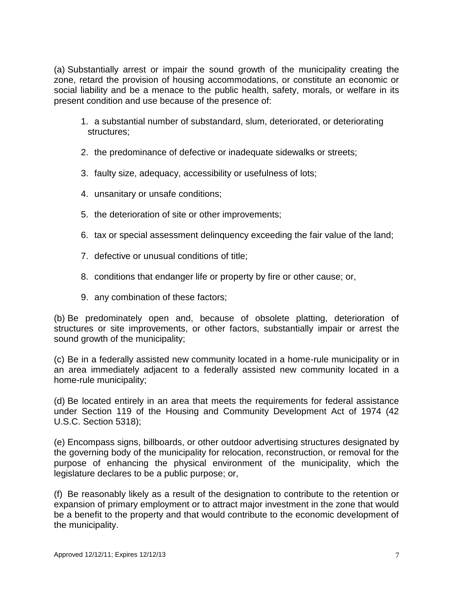(a) Substantially arrest or impair the sound growth of the municipality creating the zone, retard the provision of housing accommodations, or constitute an economic or social liability and be a menace to the public health, safety, morals, or welfare in its present condition and use because of the presence of:

- 1. a substantial number of substandard, slum, deteriorated, or deteriorating structures;
- 2. the predominance of defective or inadequate sidewalks or streets;
- 3. faulty size, adequacy, accessibility or usefulness of lots;
- 4. unsanitary or unsafe conditions;
- 5. the deterioration of site or other improvements;
- 6. tax or special assessment delinquency exceeding the fair value of the land;
- 7. defective or unusual conditions of title;
- 8. conditions that endanger life or property by fire or other cause; or,
- 9. any combination of these factors;

(b) Be predominately open and, because of obsolete platting, deterioration of structures or site improvements, or other factors, substantially impair or arrest the sound growth of the municipality;

(c) Be in a federally assisted new community located in a home-rule municipality or in an area immediately adjacent to a federally assisted new community located in a home-rule municipality;

(d) Be located entirely in an area that meets the requirements for federal assistance under Section 119 of the Housing and Community Development Act of 1974 (42 U.S.C. Section 5318);

(e) Encompass signs, billboards, or other outdoor advertising structures designated by the governing body of the municipality for relocation, reconstruction, or removal for the purpose of enhancing the physical environment of the municipality, which the legislature declares to be a public purpose; or,

(f) Be reasonably likely as a result of the designation to contribute to the retention or expansion of primary employment or to attract major investment in the zone that would be a benefit to the property and that would contribute to the economic development of the municipality.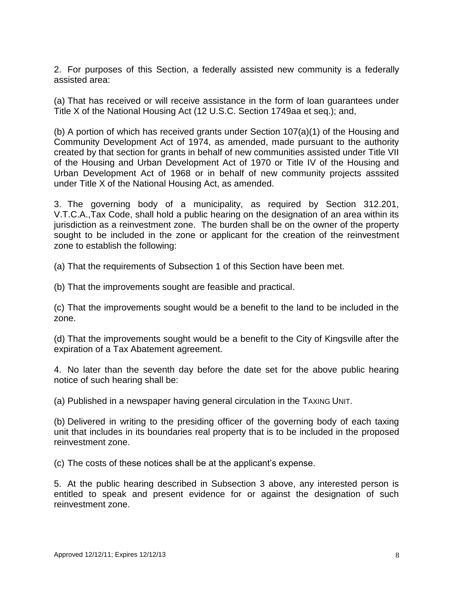2. For purposes of this Section, a federally assisted new community is a federally assisted area:

(a) That has received or will receive assistance in the form of loan guarantees under Title X of the National Housing Act (12 U.S.C. Section 1749aa et seq.); and,

(b) A portion of which has received grants under Section 107(a)(1) of the Housing and Community Development Act of 1974, as amended, made pursuant to the authority created by that section for grants in behalf of new communities assisted under Title VII of the Housing and Urban Development Act of 1970 or Title IV of the Housing and Urban Development Act of 1968 or in behalf of new community projects asssited under Title X of the National Housing Act, as amended.

3. The governing body of a municipality, as required by Section 312.201, V.T.C.A.,Tax Code, shall hold a public hearing on the designation of an area within its jurisdiction as a reinvestment zone. The burden shall be on the owner of the property sought to be included in the zone or applicant for the creation of the reinvestment zone to establish the following:

(a) That the requirements of Subsection 1 of this Section have been met.

(b) That the improvements sought are feasible and practical.

(c) That the improvements sought would be a benefit to the land to be included in the zone.

(d) That the improvements sought would be a benefit to the City of Kingsville after the expiration of a Tax Abatement agreement.

4. No later than the seventh day before the date set for the above public hearing notice of such hearing shall be:

(a) Published in a newspaper having general circulation in the TAXING UNIT.

(b) Delivered in writing to the presiding officer of the governing body of each taxing unit that includes in its boundaries real property that is to be included in the proposed reinvestment zone.

(c) The costs of these notices shall be at the applicant's expense.

5. At the public hearing described in Subsection 3 above, any interested person is entitled to speak and present evidence for or against the designation of such reinvestment zone.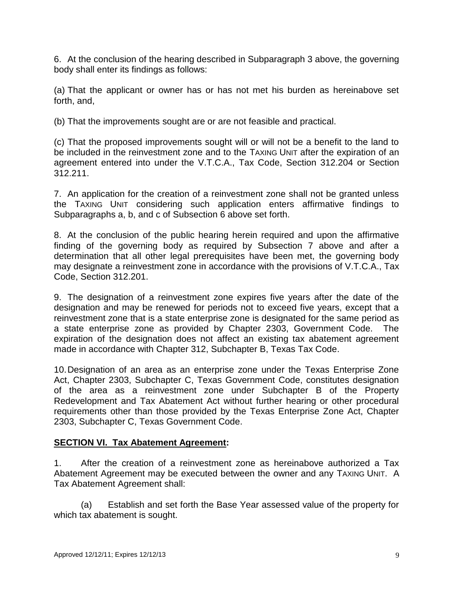6. At the conclusion of the hearing described in Subparagraph 3 above, the governing body shall enter its findings as follows:

(a) That the applicant or owner has or has not met his burden as hereinabove set forth, and,

(b) That the improvements sought are or are not feasible and practical.

(c) That the proposed improvements sought will or will not be a benefit to the land to be included in the reinvestment zone and to the TAXING UNIT after the expiration of an agreement entered into under the V.T.C.A., Tax Code, Section 312.204 or Section 312.211.

7. An application for the creation of a reinvestment zone shall not be granted unless the TAXING UNIT considering such application enters affirmative findings to Subparagraphs a, b, and c of Subsection 6 above set forth.

8. At the conclusion of the public hearing herein required and upon the affirmative finding of the governing body as required by Subsection 7 above and after a determination that all other legal prerequisites have been met, the governing body may designate a reinvestment zone in accordance with the provisions of V.T.C.A., Tax Code, Section 312.201.

9. The designation of a reinvestment zone expires five years after the date of the designation and may be renewed for periods not to exceed five years, except that a reinvestment zone that is a state enterprise zone is designated for the same period as a state enterprise zone as provided by Chapter 2303, Government Code. The expiration of the designation does not affect an existing tax abatement agreement made in accordance with Chapter 312, Subchapter B, Texas Tax Code.

10.Designation of an area as an enterprise zone under the Texas Enterprise Zone Act, Chapter 2303, Subchapter C, Texas Government Code, constitutes designation of the area as a reinvestment zone under Subchapter B of the Property Redevelopment and Tax Abatement Act without further hearing or other procedural requirements other than those provided by the Texas Enterprise Zone Act, Chapter 2303, Subchapter C, Texas Government Code.

# **SECTION VI. Tax Abatement Agreement:**

1. After the creation of a reinvestment zone as hereinabove authorized a Tax Abatement Agreement may be executed between the owner and any TAXING UNIT. A Tax Abatement Agreement shall:

(a) Establish and set forth the Base Year assessed value of the property for which tax abatement is sought.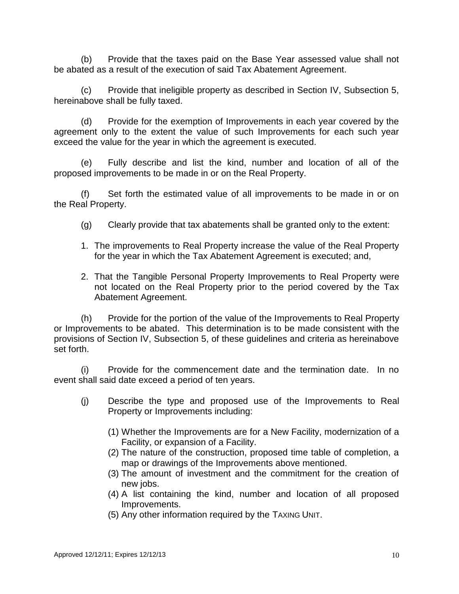(b) Provide that the taxes paid on the Base Year assessed value shall not be abated as a result of the execution of said Tax Abatement Agreement.

(c) Provide that ineligible property as described in Section IV, Subsection 5, hereinabove shall be fully taxed.

(d) Provide for the exemption of Improvements in each year covered by the agreement only to the extent the value of such Improvements for each such year exceed the value for the year in which the agreement is executed.

(e) Fully describe and list the kind, number and location of all of the proposed improvements to be made in or on the Real Property.

(f) Set forth the estimated value of all improvements to be made in or on the Real Property.

- (g) Clearly provide that tax abatements shall be granted only to the extent:
- 1. The improvements to Real Property increase the value of the Real Property for the year in which the Tax Abatement Agreement is executed; and,
- 2. That the Tangible Personal Property Improvements to Real Property were not located on the Real Property prior to the period covered by the Tax Abatement Agreement.

(h) Provide for the portion of the value of the Improvements to Real Property or Improvements to be abated. This determination is to be made consistent with the provisions of Section IV, Subsection 5, of these guidelines and criteria as hereinabove set forth.

(i) Provide for the commencement date and the termination date. In no event shall said date exceed a period of ten years.

- (j) Describe the type and proposed use of the Improvements to Real Property or Improvements including:
	- (1) Whether the Improvements are for a New Facility, modernization of a Facility, or expansion of a Facility.
	- (2) The nature of the construction, proposed time table of completion, a map or drawings of the Improvements above mentioned.
	- (3) The amount of investment and the commitment for the creation of new jobs.
	- (4) A list containing the kind, number and location of all proposed Improvements.
	- (5) Any other information required by the TAXING UNIT.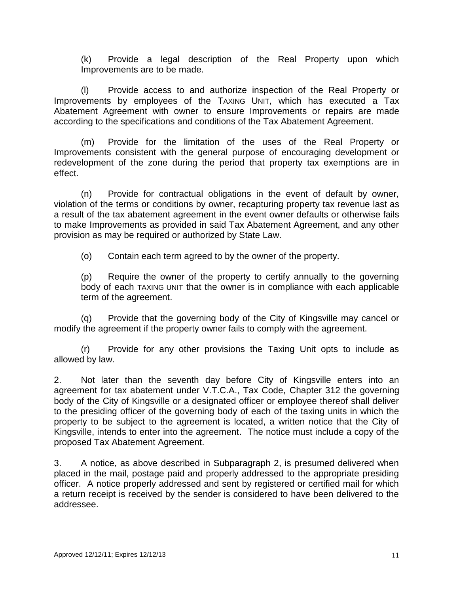(k) Provide a legal description of the Real Property upon which Improvements are to be made.

(l) Provide access to and authorize inspection of the Real Property or Improvements by employees of the TAXING UNIT, which has executed a Tax Abatement Agreement with owner to ensure Improvements or repairs are made according to the specifications and conditions of the Tax Abatement Agreement.

(m) Provide for the limitation of the uses of the Real Property or Improvements consistent with the general purpose of encouraging development or redevelopment of the zone during the period that property tax exemptions are in effect.

(n) Provide for contractual obligations in the event of default by owner, violation of the terms or conditions by owner, recapturing property tax revenue last as a result of the tax abatement agreement in the event owner defaults or otherwise fails to make Improvements as provided in said Tax Abatement Agreement, and any other provision as may be required or authorized by State Law.

(o) Contain each term agreed to by the owner of the property.

(p) Require the owner of the property to certify annually to the governing body of each TAXING UNIT that the owner is in compliance with each applicable term of the agreement.

(q) Provide that the governing body of the City of Kingsville may cancel or modify the agreement if the property owner fails to comply with the agreement.

(r) Provide for any other provisions the Taxing Unit opts to include as allowed by law.

2. Not later than the seventh day before City of Kingsville enters into an agreement for tax abatement under V.T.C.A., Tax Code, Chapter 312 the governing body of the City of Kingsville or a designated officer or employee thereof shall deliver to the presiding officer of the governing body of each of the taxing units in which the property to be subject to the agreement is located, a written notice that the City of Kingsville, intends to enter into the agreement. The notice must include a copy of the proposed Tax Abatement Agreement.

3. A notice, as above described in Subparagraph 2, is presumed delivered when placed in the mail, postage paid and properly addressed to the appropriate presiding officer. A notice properly addressed and sent by registered or certified mail for which a return receipt is received by the sender is considered to have been delivered to the addressee.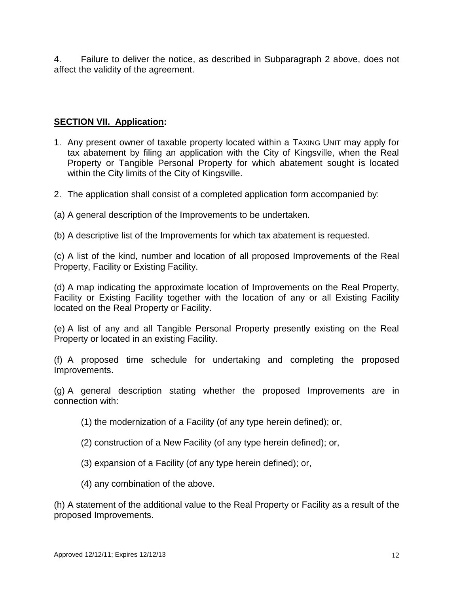4. Failure to deliver the notice, as described in Subparagraph 2 above, does not affect the validity of the agreement.

## **SECTION VII. Application:**

- 1. Any present owner of taxable property located within a TAXING UNIT may apply for tax abatement by filing an application with the City of Kingsville, when the Real Property or Tangible Personal Property for which abatement sought is located within the City limits of the City of Kingsville.
- 2. The application shall consist of a completed application form accompanied by:
- (a) A general description of the Improvements to be undertaken.
- (b) A descriptive list of the Improvements for which tax abatement is requested.

(c) A list of the kind, number and location of all proposed Improvements of the Real Property, Facility or Existing Facility.

(d) A map indicating the approximate location of Improvements on the Real Property, Facility or Existing Facility together with the location of any or all Existing Facility located on the Real Property or Facility.

(e) A list of any and all Tangible Personal Property presently existing on the Real Property or located in an existing Facility.

(f) A proposed time schedule for undertaking and completing the proposed Improvements.

(g) A general description stating whether the proposed Improvements are in connection with:

- (1) the modernization of a Facility (of any type herein defined); or,
- (2) construction of a New Facility (of any type herein defined); or,
- (3) expansion of a Facility (of any type herein defined); or,
- (4) any combination of the above.

(h) A statement of the additional value to the Real Property or Facility as a result of the proposed Improvements.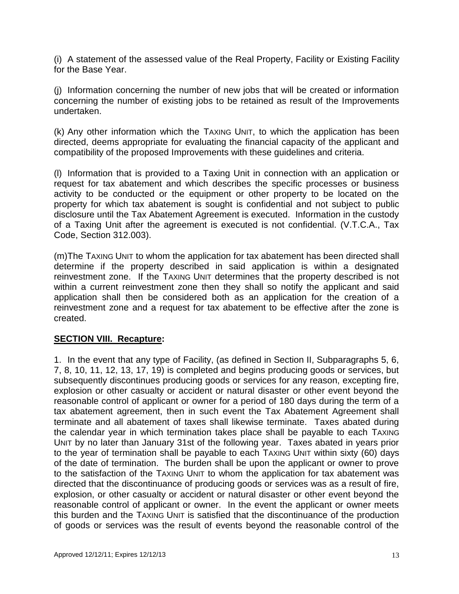(i) A statement of the assessed value of the Real Property, Facility or Existing Facility for the Base Year.

(j) Information concerning the number of new jobs that will be created or information concerning the number of existing jobs to be retained as result of the Improvements undertaken.

(k) Any other information which the TAXING UNIT, to which the application has been directed, deems appropriate for evaluating the financial capacity of the applicant and compatibility of the proposed Improvements with these guidelines and criteria.

(l) Information that is provided to a Taxing Unit in connection with an application or request for tax abatement and which describes the specific processes or business activity to be conducted or the equipment or other property to be located on the property for which tax abatement is sought is confidential and not subject to public disclosure until the Tax Abatement Agreement is executed. Information in the custody of a Taxing Unit after the agreement is executed is not confidential. (V.T.C.A., Tax Code, Section 312.003).

(m)The TAXING UNIT to whom the application for tax abatement has been directed shall determine if the property described in said application is within a designated reinvestment zone. If the TAXING UNIT determines that the property described is not within a current reinvestment zone then they shall so notify the applicant and said application shall then be considered both as an application for the creation of a reinvestment zone and a request for tax abatement to be effective after the zone is created.

## **SECTION VIII. Recapture:**

1. In the event that any type of Facility, (as defined in Section II, Subparagraphs 5, 6, 7, 8, 10, 11, 12, 13, 17, 19) is completed and begins producing goods or services, but subsequently discontinues producing goods or services for any reason, excepting fire, explosion or other casualty or accident or natural disaster or other event beyond the reasonable control of applicant or owner for a period of 180 days during the term of a tax abatement agreement, then in such event the Tax Abatement Agreement shall terminate and all abatement of taxes shall likewise terminate. Taxes abated during the calendar year in which termination takes place shall be payable to each TAXING UNIT by no later than January 31st of the following year. Taxes abated in years prior to the year of termination shall be payable to each TAXING UNIT within sixty (60) days of the date of termination. The burden shall be upon the applicant or owner to prove to the satisfaction of the TAXING UNIT to whom the application for tax abatement was directed that the discontinuance of producing goods or services was as a result of fire, explosion, or other casualty or accident or natural disaster or other event beyond the reasonable control of applicant or owner. In the event the applicant or owner meets this burden and the TAXING UNIT is satisfied that the discontinuance of the production of goods or services was the result of events beyond the reasonable control of the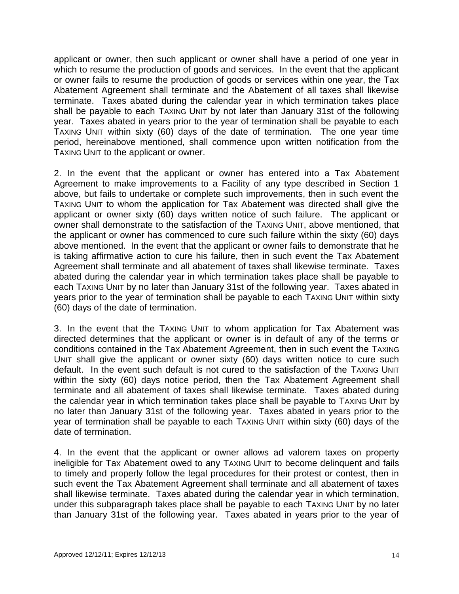applicant or owner, then such applicant or owner shall have a period of one year in which to resume the production of goods and services. In the event that the applicant or owner fails to resume the production of goods or services within one year, the Tax Abatement Agreement shall terminate and the Abatement of all taxes shall likewise terminate. Taxes abated during the calendar year in which termination takes place shall be payable to each TAXING UNIT by not later than January 31st of the following year. Taxes abated in years prior to the year of termination shall be payable to each TAXING UNIT within sixty (60) days of the date of termination. The one year time period, hereinabove mentioned, shall commence upon written notification from the TAXING UNIT to the applicant or owner.

2. In the event that the applicant or owner has entered into a Tax Abatement Agreement to make improvements to a Facility of any type described in Section 1 above, but fails to undertake or complete such improvements, then in such event the TAXING UNIT to whom the application for Tax Abatement was directed shall give the applicant or owner sixty (60) days written notice of such failure. The applicant or owner shall demonstrate to the satisfaction of the TAXING UNIT, above mentioned, that the applicant or owner has commenced to cure such failure within the sixty (60) days above mentioned. In the event that the applicant or owner fails to demonstrate that he is taking affirmative action to cure his failure, then in such event the Tax Abatement Agreement shall terminate and all abatement of taxes shall likewise terminate. Taxes abated during the calendar year in which termination takes place shall be payable to each TAXING UNIT by no later than January 31st of the following year. Taxes abated in years prior to the year of termination shall be payable to each TAXING UNIT within sixty (60) days of the date of termination.

3. In the event that the TAXING UNIT to whom application for Tax Abatement was directed determines that the applicant or owner is in default of any of the terms or conditions contained in the Tax Abatement Agreement, then in such event the TAXING UNIT shall give the applicant or owner sixty (60) days written notice to cure such default. In the event such default is not cured to the satisfaction of the TAXING UNIT within the sixty (60) days notice period, then the Tax Abatement Agreement shall terminate and all abatement of taxes shall likewise terminate. Taxes abated during the calendar year in which termination takes place shall be payable to TAXING UNIT by no later than January 31st of the following year. Taxes abated in years prior to the year of termination shall be payable to each TAXING UNIT within sixty (60) days of the date of termination.

4. In the event that the applicant or owner allows ad valorem taxes on property ineligible for Tax Abatement owed to any TAXING UNIT to become delinquent and fails to timely and properly follow the legal procedures for their protest or contest, then in such event the Tax Abatement Agreement shall terminate and all abatement of taxes shall likewise terminate. Taxes abated during the calendar year in which termination, under this subparagraph takes place shall be payable to each TAXING UNIT by no later than January 31st of the following year. Taxes abated in years prior to the year of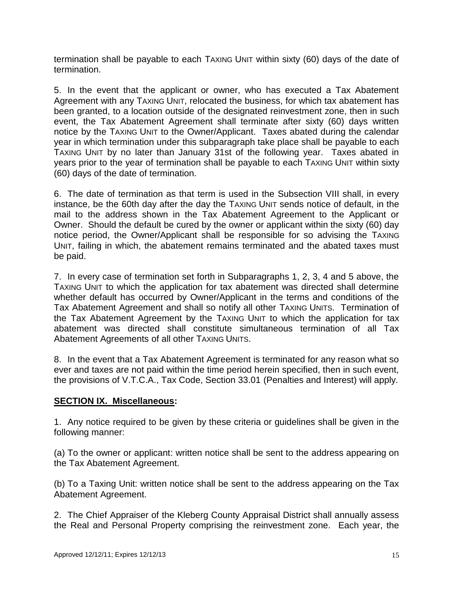termination shall be payable to each TAXING UNIT within sixty (60) days of the date of termination.

5. In the event that the applicant or owner, who has executed a Tax Abatement Agreement with any TAXING UNIT, relocated the business, for which tax abatement has been granted, to a location outside of the designated reinvestment zone, then in such event, the Tax Abatement Agreement shall terminate after sixty (60) days written notice by the TAXING UNIT to the Owner/Applicant. Taxes abated during the calendar year in which termination under this subparagraph take place shall be payable to each TAXING UNIT by no later than January 31st of the following year. Taxes abated in years prior to the year of termination shall be payable to each TAXING UNIT within sixty (60) days of the date of termination.

6. The date of termination as that term is used in the Subsection VIII shall, in every instance, be the 60th day after the day the TAXING UNIT sends notice of default, in the mail to the address shown in the Tax Abatement Agreement to the Applicant or Owner. Should the default be cured by the owner or applicant within the sixty (60) day notice period, the Owner/Applicant shall be responsible for so advising the TAXING UNIT, failing in which, the abatement remains terminated and the abated taxes must be paid.

7. In every case of termination set forth in Subparagraphs 1, 2, 3, 4 and 5 above, the TAXING UNIT to which the application for tax abatement was directed shall determine whether default has occurred by Owner/Applicant in the terms and conditions of the Tax Abatement Agreement and shall so notify all other TAXING UNITS. Termination of the Tax Abatement Agreement by the TAXING UNIT to which the application for tax abatement was directed shall constitute simultaneous termination of all Tax Abatement Agreements of all other TAXING UNITS.

8. In the event that a Tax Abatement Agreement is terminated for any reason what so ever and taxes are not paid within the time period herein specified, then in such event, the provisions of V.T.C.A., Tax Code, Section 33.01 (Penalties and Interest) will apply.

## **SECTION IX. Miscellaneous:**

1. Any notice required to be given by these criteria or guidelines shall be given in the following manner:

(a) To the owner or applicant: written notice shall be sent to the address appearing on the Tax Abatement Agreement.

(b) To a Taxing Unit: written notice shall be sent to the address appearing on the Tax Abatement Agreement.

2. The Chief Appraiser of the Kleberg County Appraisal District shall annually assess the Real and Personal Property comprising the reinvestment zone. Each year, the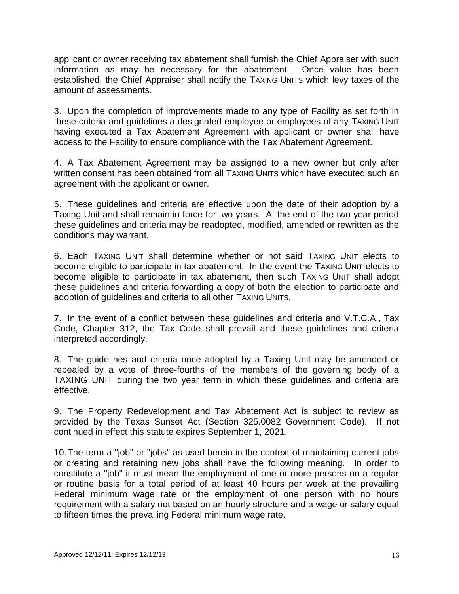applicant or owner receiving tax abatement shall furnish the Chief Appraiser with such information as may be necessary for the abatement. Once value has been established, the Chief Appraiser shall notify the TAXING UNITS which levy taxes of the amount of assessments.

3. Upon the completion of improvements made to any type of Facility as set forth in these criteria and guidelines a designated employee or employees of any TAXING UNIT having executed a Tax Abatement Agreement with applicant or owner shall have access to the Facility to ensure compliance with the Tax Abatement Agreement.

4. A Tax Abatement Agreement may be assigned to a new owner but only after written consent has been obtained from all TAXING UNITS which have executed such an agreement with the applicant or owner.

5. These guidelines and criteria are effective upon the date of their adoption by a Taxing Unit and shall remain in force for two years. At the end of the two year period these guidelines and criteria may be readopted, modified, amended or rewritten as the conditions may warrant.

6. Each TAXING UNIT shall determine whether or not said TAXING UNIT elects to become eligible to participate in tax abatement. In the event the TAXING UNIT elects to become eligible to participate in tax abatement, then such TAXING UNIT shall adopt these guidelines and criteria forwarding a copy of both the election to participate and adoption of guidelines and criteria to all other TAXING UNITS.

7. In the event of a conflict between these guidelines and criteria and V.T.C.A., Tax Code, Chapter 312, the Tax Code shall prevail and these guidelines and criteria interpreted accordingly.

8. The guidelines and criteria once adopted by a Taxing Unit may be amended or repealed by a vote of three-fourths of the members of the governing body of a TAXING UNIT during the two year term in which these guidelines and criteria are effective.

9. The Property Redevelopment and Tax Abatement Act is subject to review as provided by the Texas Sunset Act (Section 325.0082 Government Code). If not continued in effect this statute expires September 1, 2021.

10.The term a "job" or "jobs" as used herein in the context of maintaining current jobs or creating and retaining new jobs shall have the following meaning. In order to constitute a "job" it must mean the employment of one or more persons on a regular or routine basis for a total period of at least 40 hours per week at the prevailing Federal minimum wage rate or the employment of one person with no hours requirement with a salary not based on an hourly structure and a wage or salary equal to fifteen times the prevailing Federal minimum wage rate.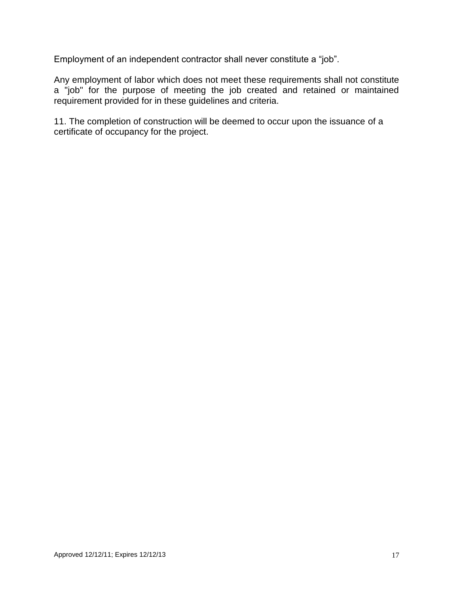Employment of an independent contractor shall never constitute a "job".

Any employment of labor which does not meet these requirements shall not constitute a "job" for the purpose of meeting the job created and retained or maintained requirement provided for in these guidelines and criteria.

11. The completion of construction will be deemed to occur upon the issuance of a certificate of occupancy for the project.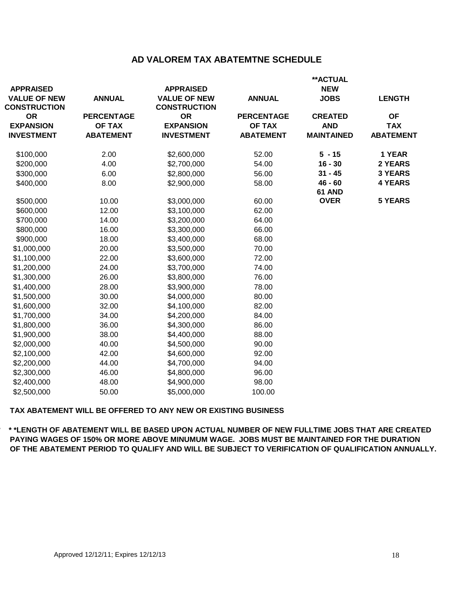## **AD VALOREM TAX ABATEMTNE SCHEDULE**

| <b>APPRAISED</b>                           |                   | <b>APPRAISED</b>                           |                   | **ACTUAL<br><b>NEW</b> |                  |
|--------------------------------------------|-------------------|--------------------------------------------|-------------------|------------------------|------------------|
| <b>VALUE OF NEW</b><br><b>CONSTRUCTION</b> | <b>ANNUAL</b>     | <b>VALUE OF NEW</b><br><b>CONSTRUCTION</b> | <b>ANNUAL</b>     | <b>JOBS</b>            | <b>LENGTH</b>    |
| <b>OR</b>                                  | <b>PERCENTAGE</b> | <b>OR</b>                                  | <b>PERCENTAGE</b> | <b>CREATED</b>         | <b>OF</b>        |
| <b>EXPANSION</b>                           | <b>OF TAX</b>     | <b>EXPANSION</b>                           | <b>OF TAX</b>     | <b>AND</b>             | <b>TAX</b>       |
| <b>INVESTMENT</b>                          | <b>ABATEMENT</b>  | <b>INVESTMENT</b>                          | <b>ABATEMENT</b>  | <b>MAINTAINED</b>      | <b>ABATEMENT</b> |
| \$100,000                                  | 2.00              | \$2,600,000                                | 52.00             | $5 - 15$               | 1 YEAR           |
| \$200,000                                  | 4.00              | \$2,700,000                                | 54.00             | $16 - 30$              | 2 YEARS          |
| \$300,000                                  | 6.00              | \$2,800,000                                | 56.00             | $31 - 45$              | <b>3 YEARS</b>   |
| \$400,000                                  | 8.00              | \$2,900,000                                | 58.00             | $46 - 60$              | <b>4 YEARS</b>   |
|                                            |                   |                                            |                   | 61 AND                 |                  |
| \$500,000                                  | 10.00             | \$3,000,000                                | 60.00             | <b>OVER</b>            | <b>5 YEARS</b>   |
| \$600,000                                  | 12.00             | \$3,100,000                                | 62.00             |                        |                  |
| \$700,000                                  | 14.00             | \$3,200,000                                | 64.00             |                        |                  |
| \$800,000                                  | 16.00             | \$3,300,000                                | 66.00             |                        |                  |
| \$900,000                                  | 18.00             | \$3,400,000                                | 68.00             |                        |                  |
| \$1,000,000                                | 20.00             | \$3,500,000                                | 70.00             |                        |                  |
| \$1,100,000                                | 22.00             | \$3,600,000                                | 72.00             |                        |                  |
| \$1,200,000                                | 24.00             | \$3,700,000                                | 74.00             |                        |                  |
| \$1,300,000                                | 26.00             | \$3,800,000                                | 76.00             |                        |                  |
| \$1,400,000                                | 28.00             | \$3,900,000                                | 78.00             |                        |                  |
| \$1,500,000                                | 30.00             | \$4,000,000                                | 80.00             |                        |                  |
| \$1,600,000                                | 32.00             | \$4,100,000                                | 82.00             |                        |                  |
| \$1,700,000                                | 34.00             | \$4,200,000                                | 84.00             |                        |                  |
| \$1,800,000                                | 36.00             | \$4,300,000                                | 86.00             |                        |                  |
| \$1,900,000                                | 38.00             | \$4,400,000                                | 88.00             |                        |                  |
| \$2,000,000                                | 40.00             | \$4,500,000                                | 90.00             |                        |                  |
| \$2,100,000                                | 42.00             | \$4,600,000                                | 92.00             |                        |                  |
| \$2,200,000                                | 44.00             | \$4,700,000                                | 94.00             |                        |                  |
| \$2,300,000                                | 46.00             | \$4,800,000                                | 96.00             |                        |                  |
| \$2,400,000                                | 48.00             | \$4,900,000                                | 98.00             |                        |                  |
| \$2,500,000                                | 50.00             | \$5,000,000                                | 100.00            |                        |                  |

#### **TAX ABATEMENT WILL BE OFFERED TO ANY NEW OR EXISTING BUSINESS**

**\* \* \*LENGTH OF ABATEMENT WILL BE BASED UPON ACTUAL NUMBER OF NEW FULLTIME JOBS THAT ARE CREATED PAYING WAGES OF 150% OR MORE ABOVE MINUMUM WAGE. JOBS MUST BE MAINTAINED FOR THE DURATION OF THE ABATEMENT PERIOD TO QUALIFY AND WILL BE SUBJECT TO VERIFICATION OF QUALIFICATION ANNUALLY.**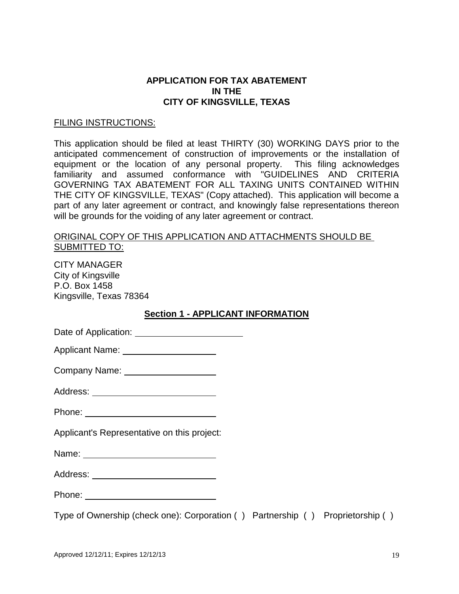## **APPLICATION FOR TAX ABATEMENT IN THE CITY OF KINGSVILLE, TEXAS**

### FILING INSTRUCTIONS:

This application should be filed at least THIRTY (30) WORKING DAYS prior to the anticipated commencement of construction of improvements or the installation of equipment or the location of any personal property. This filing acknowledges familiarity and assumed conformance with "GUIDELINES AND CRITERIA GOVERNING TAX ABATEMENT FOR ALL TAXING UNITS CONTAINED WITHIN THE CITY OF KINGSVILLE, TEXAS" (Copy attached). This application will become a part of any later agreement or contract, and knowingly false representations thereon will be grounds for the voiding of any later agreement or contract.

## ORIGINAL COPY OF THIS APPLICATION AND ATTACHMENTS SHOULD BE SUBMITTED TO:

CITY MANAGER City of Kingsville P.O. Box 1458 Kingsville, Texas 78364

## **Section 1 - APPLICANT INFORMATION**

| Date of Application: |
|----------------------|
|----------------------|

| <b>Applicant Name:</b> |  |
|------------------------|--|
|                        |  |

| Company Name: |  |
|---------------|--|
|---------------|--|

| Address: |  |
|----------|--|
|----------|--|

Phone: <u>with the contract of the contract of the contract of the contract of the contract of the contract of the contract of the contract of the contract of the contract of the contract of the contract of the contract of t</u>

Applicant's Representative on this project:

Name: Name:

Address: **Address: Address: Address: Address: Address: Address: Address: Address: Address: Address: Address: Address: Address: Address: Address: Address: Address: Address: Address: Add** 

Phone: The contract of the contract of the contract of the contract of the contract of the contract of the contract of the contract of the contract of the contract of the contract of the contract of the contract of the con

Type of Ownership (check one): Corporation () Partnership () Proprietorship ()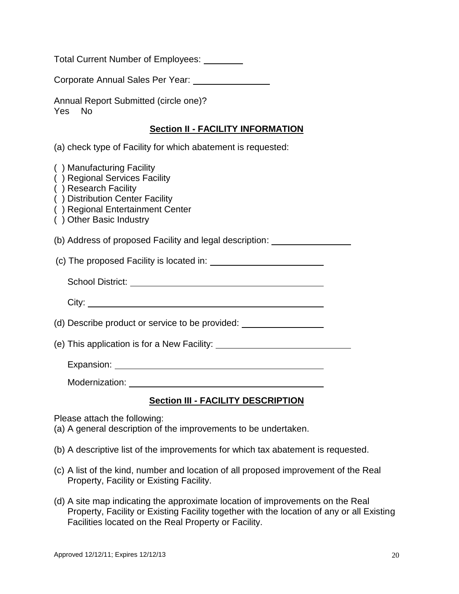Total Current Number of Employees:

Corporate Annual Sales Per Year:

Annual Report Submitted (circle one)? Yes No

## **Section II - FACILITY INFORMATION**

(a) check type of Facility for which abatement is requested:

| ) Manufacturing Facility<br>) Regional Services Facility<br>) Research Facility<br>) Distribution Center Facility<br>) Regional Entertainment Center<br>) Other Basic Industry |  |
|--------------------------------------------------------------------------------------------------------------------------------------------------------------------------------|--|
| (b) Address of proposed Facility and legal description: ________________________                                                                                               |  |
|                                                                                                                                                                                |  |
|                                                                                                                                                                                |  |
|                                                                                                                                                                                |  |
| (d) Describe product or service to be provided:                                                                                                                                |  |
|                                                                                                                                                                                |  |
|                                                                                                                                                                                |  |
|                                                                                                                                                                                |  |

Modernization: University of the Modernization:

# **Section III - FACILITY DESCRIPTION**

Please attach the following:

(a) A general description of the improvements to be undertaken.

- (b) A descriptive list of the improvements for which tax abatement is requested.
- (c) A list of the kind, number and location of all proposed improvement of the Real Property, Facility or Existing Facility.
- (d) A site map indicating the approximate location of improvements on the Real Property, Facility or Existing Facility together with the location of any or all Existing Facilities located on the Real Property or Facility.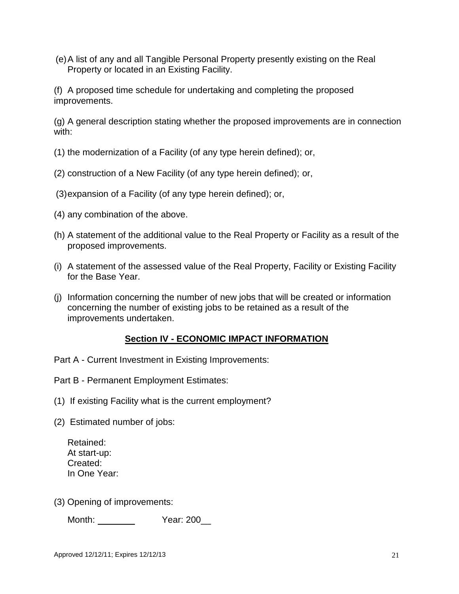(e)A list of any and all Tangible Personal Property presently existing on the Real Property or located in an Existing Facility.

(f) A proposed time schedule for undertaking and completing the proposed improvements.

(g) A general description stating whether the proposed improvements are in connection with:

- (1) the modernization of a Facility (of any type herein defined); or,
- (2) construction of a New Facility (of any type herein defined); or,
- (3)expansion of a Facility (of any type herein defined); or,
- (4) any combination of the above.
- (h) A statement of the additional value to the Real Property or Facility as a result of the proposed improvements.
- (i) A statement of the assessed value of the Real Property, Facility or Existing Facility for the Base Year.
- (j) Information concerning the number of new jobs that will be created or information concerning the number of existing jobs to be retained as a result of the improvements undertaken.

# **Section IV - ECONOMIC IMPACT INFORMATION**

- Part A Current Investment in Existing Improvements:
- Part B Permanent Employment Estimates:
- (1) If existing Facility what is the current employment?
- (2) Estimated number of jobs:

Retained: At start-up: Created: In One Year:

(3) Opening of improvements:

Month: Year: 200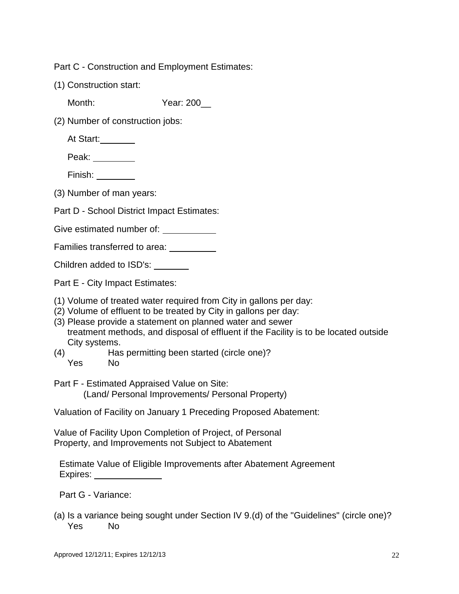Part C - Construction and Employment Estimates:

(1) Construction start:

Month: Year: 200

(2) Number of construction jobs:

At Start:

Peak:

- Finish: \_\_\_\_\_\_\_\_\_
- (3) Number of man years:

Part D - School District Impact Estimates:

Give estimated number of:

Families transferred to area:

Children added to ISD's:

Part E - City Impact Estimates:

- (1) Volume of treated water required from City in gallons per day:
- (2) Volume of effluent to be treated by City in gallons per day:
- (3) Please provide a statement on planned water and sewer treatment methods, and disposal of effluent if the Facility is to be located outside City systems.
- (4) Has permitting been started (circle one)? Yes No
- Part F Estimated Appraised Value on Site: (Land/ Personal Improvements/ Personal Property)

Valuation of Facility on January 1 Preceding Proposed Abatement:

Value of Facility Upon Completion of Project, of Personal Property, and Improvements not Subject to Abatement

Estimate Value of Eligible Improvements after Abatement Agreement Expires:

Part G - Variance:

(a) Is a variance being sought under Section IV 9.(d) of the "Guidelines" (circle one)? Yes No